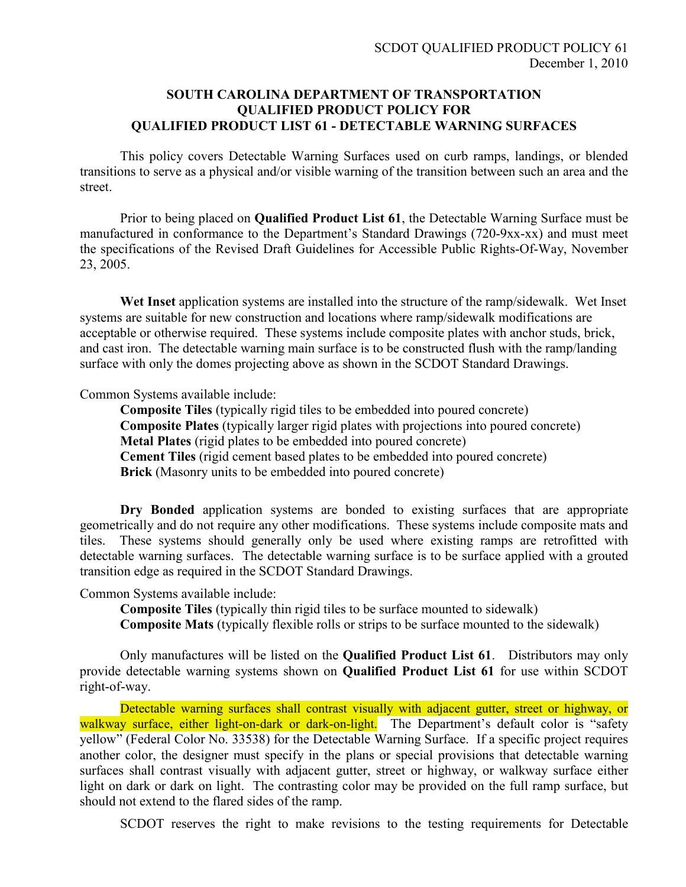## **SOUTH CAROLINA DEPARTMENT OF TRANSPORTATION QUALIFIED PRODUCT POLICY FOR QUALIFIED PRODUCT LIST 61 - DETECTABLE WARNING SURFACES**

This policy covers Detectable Warning Surfaces used on curb ramps, landings, or blended transitions to serve as a physical and/or visible warning of the transition between such an area and the street.

Prior to being placed on **Qualified Product List 61**, the Detectable Warning Surface must be manufactured in conformance to the Department's Standard Drawings (720-9xx-xx) and must meet the specifications of the Revised Draft Guidelines for Accessible Public Rights-Of-Way, November 23, 2005.

**Wet Inset** application systems are installed into the structure of the ramp/sidewalk. Wet Inset systems are suitable for new construction and locations where ramp/sidewalk modifications are acceptable or otherwise required. These systems include composite plates with anchor studs, brick, and cast iron. The detectable warning main surface is to be constructed flush with the ramp/landing surface with only the domes projecting above as shown in the SCDOT Standard Drawings.

Common Systems available include:

**Composite Tiles** (typically rigid tiles to be embedded into poured concrete) **Composite Plates** (typically larger rigid plates with projections into poured concrete) **Metal Plates** (rigid plates to be embedded into poured concrete) **Cement Tiles** (rigid cement based plates to be embedded into poured concrete) **Brick** (Masonry units to be embedded into poured concrete)

**Dry Bonded** application systems are bonded to existing surfaces that are appropriate geometrically and do not require any other modifications. These systems include composite mats and tiles. These systems should generally only be used where existing ramps are retrofitted with detectable warning surfaces. The detectable warning surface is to be surface applied with a grouted transition edge as required in the SCDOT Standard Drawings.

Common Systems available include:

**Composite Tiles** (typically thin rigid tiles to be surface mounted to sidewalk)

**Composite Mats** (typically flexible rolls or strips to be surface mounted to the sidewalk)

Only manufactures will be listed on the **Qualified Product List 61**. Distributors may only provide detectable warning systems shown on **Qualified Product List 61** for use within SCDOT right-of-way.

Detectable warning surfaces shall contrast visually with adjacent gutter, street or highway, or walkway surface, either light-on-dark or dark-on-light. The Department's default color is "safety yellow" (Federal Color No. 33538) for the Detectable Warning Surface. If a specific project requires another color, the designer must specify in the plans or special provisions that detectable warning surfaces shall contrast visually with adjacent gutter, street or highway, or walkway surface either light on dark or dark on light. The contrasting color may be provided on the full ramp surface, but should not extend to the flared sides of the ramp.

SCDOT reserves the right to make revisions to the testing requirements for Detectable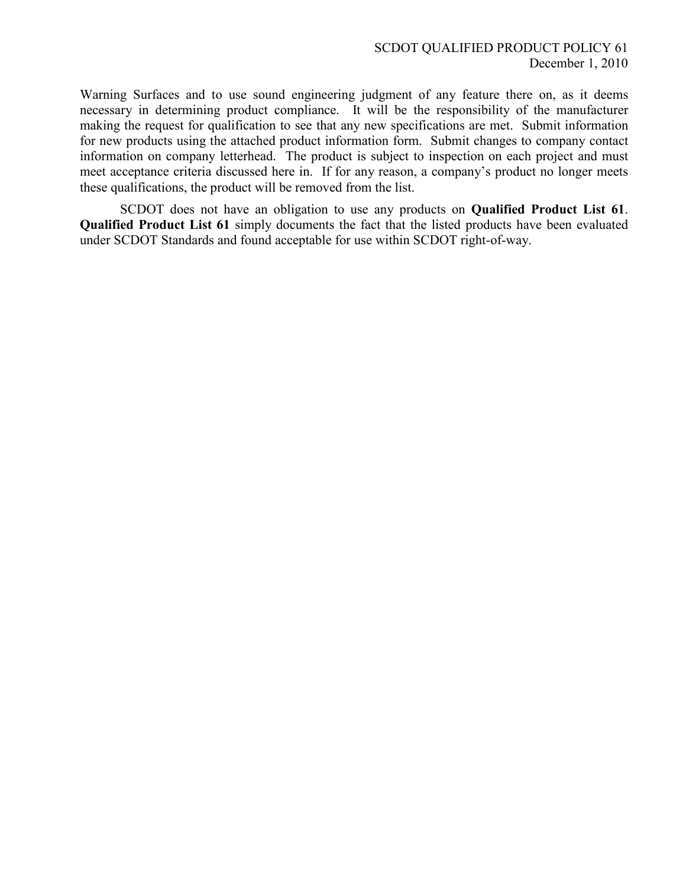Warning Surfaces and to use sound engineering judgment of any feature there on, as it deems necessary in determining product compliance. It will be the responsibility of the manufacturer making the request for qualification to see that any new specifications are met. Submit information for new products using the attached product information form. Submit changes to company contact information on company letterhead. The product is subject to inspection on each project and must meet acceptance criteria discussed here in. If for any reason, a company's product no longer meets these qualifications, the product will be removed from the list.

SCDOT does not have an obligation to use any products on **Qualified Product List 61**. **Qualified Product List 61** simply documents the fact that the listed products have been evaluated under SCDOT Standards and found acceptable for use within SCDOT right-of-way.